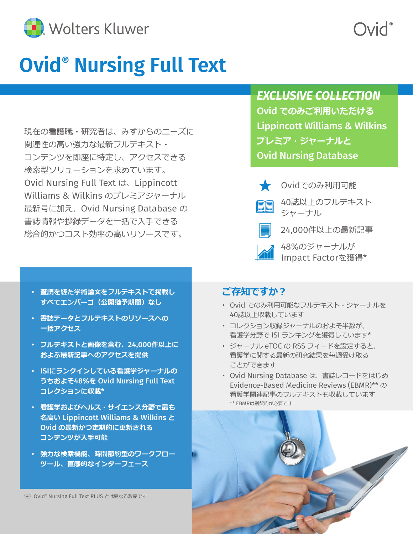

# **Ovid® Nursing Full Text**

現在の看護職・研究者は、みずからのニーズに 関連性の高い強力な最新フルテキスト・ コンテンツを即座に特定し、アクセスできる 検索型ソリューションを求めています。 Ovid Nursing Full Text は、Lippincott Williams & Wilkins のプレミアジャーナル 最新号に加え、Ovid Nursing Database の 書誌情報や抄録データを一括で入手できる 総合的かつコスト効率の高いリソースです。

- **査読を経た学術論文をフルテキストで掲載し すべてエンバーゴ(公開猶予期間)なし**
- **書誌データとフルテキストのリソースへの 一括アクセス**
- **フルテキストと画像を含む、**24,000**件以上に およぶ最新記事へのアクセスを提供**
- ISI**にランクインしている看護学ジャーナルの うちおよそ**48%**を** Ovid Nursing Full Text **コレクションに収載**\*
- **看護学およびヘルス・サイエンス分野で最も 名高い** Lippincott Williams & Wilkins **と** Ovid **の最新かつ定期的に更新される コンテンツが入手可能**
- **強力な検索機能、時間節約型のワークフロー ツール、直感的なインターフェース**

注) Ovid® Nursing Full Text PLUS とは異なる製品です

#### *EXCLUSIVE COLLECTION*

**DivC** 

Ovid **でのみご利用いただける** Lippincott Williams & Wilkins **プレミア・ジャーナルと** Ovid Nursing Database



Ovidでのみ利用可能



- 40誌以上のフルテキスト ジャーナル
- 24,000件以上の最新記事

48%のジャーナルが Impact Factorを獲得\*

#### **ご存知ですか?**

- Ovid でのみ利用可能なフルテキスト・ジャーナルを 40誌以上収載しています
- コレクション収録ジャーナルのおよそ半数が、 看護学分野で ISI ランキングを獲得しています\*
- ジャーナル eTOC の RSS フィードを設定すると、 看護学に関する最新の研究結果を毎週受け取る ことができます
- Ovid Nursing Database は、書誌レコードをはじめ Evidence-Based Medicine Reviews (EBMR)\*\* の 看護学関連記事のフルテキストも収載しています \*\* EBMRは別契約が必要です